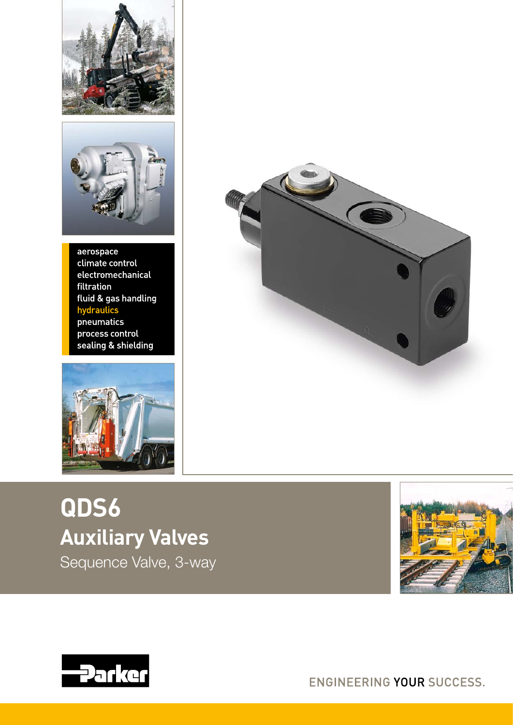



aerospace climate control electromechanical filtration fluid & gas handling<br>hydraulics pneumatics process control sealing & shielding









ENGINEERING YOUR SUCCESS.

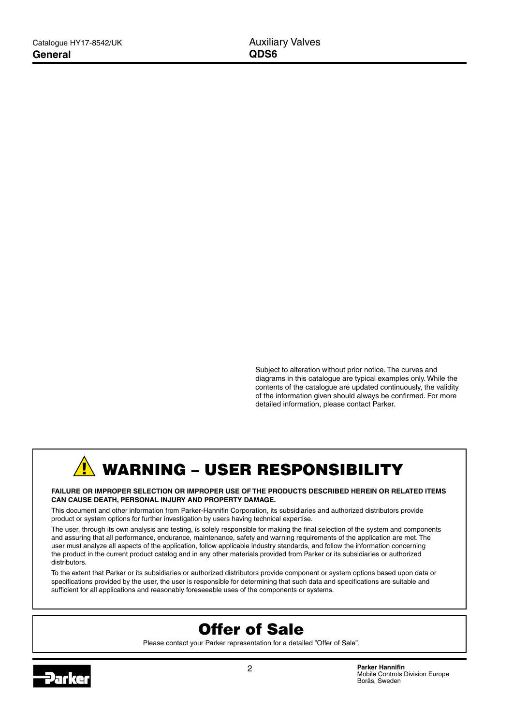Subject to alteration without prior notice. The curves and diagrams in this catalogue are typical examples only. While the contents of the catalogue are updated continuously, the validity of the information given should always be confirmed. For more detailed information, please contact Parker.

# WARNING – USER RESPONSIBILITY

#### **FAILURE OR IMPROPER SELECTION OR IMPROPER USE OF THE PRODUCTS DESCRIBED HEREIN OR RELATED ITEMS CAN CAUSE DEATH, PERSONAL INJURY AND PROPERTY DAMAGE.**

This document and other information from Parker-Hannifin Corporation, its subsidiaries and authorized distributors provide product or system options for further investigation by users having technical expertise.

The user, through its own analysis and testing, is solely responsible for making the final selection of the system and components and assuring that all performance, endurance, maintenance, safety and warning requirements of the application are met. The user must analyze all aspects of the application, follow applicable industry standards, and follow the information concerning the product in the current product catalog and in any other materials provided from Parker or its subsidiaries or authorized distributors.

To the extent that Parker or its subsidiaries or authorized distributors provide component or system options based upon data or specifications provided by the user, the user is responsible for determining that such data and specifications are suitable and sufficient for all applications and reasonably foreseeable uses of the components or systems.

## Offer of Sale

Please contact your Parker representation for a detailed "Offer of Sale".

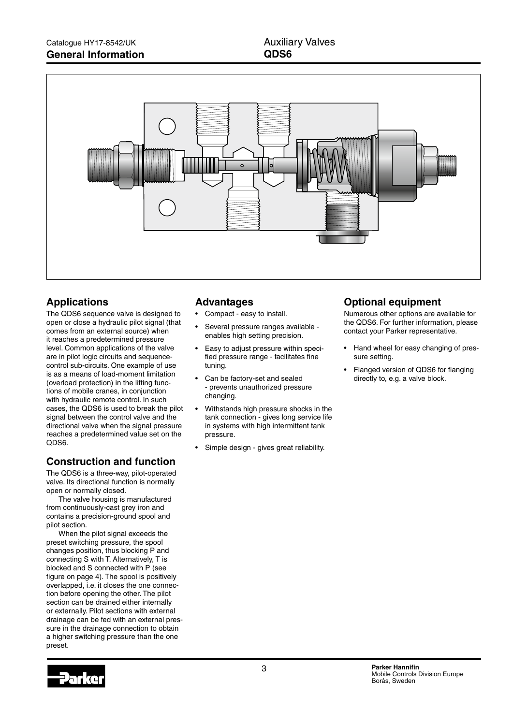

## **Applications**

The QDS6 sequence valve is designed to open or close a hydraulic pilot signal (that comes from an external source) when it reaches a predetermined pressure level. Common applications of the valve are in pilot logic circuits and sequencecontrol sub-circuits. One example of use is as a means of load-moment limitation (overload protection) in the lifting functions of mobile cranes, in conjunction with hydraulic remote control. In such cases, the QDS6 is used to break the pilot signal between the control valve and the directional valve when the signal pressure reaches a predetermined value set on the QDS6.

## **Construction and function**

The QDS6 is a three-way, pilot-operated valve. Its directional function is normally open or normally closed.

The valve housing is manufactured from continuously-cast grey iron and contains a precision-ground spool and pilot section.

When the pilot signal exceeds the preset switching pressure, the spool changes position, thus blocking P and connecting S with T. Alternatively, T is blocked and S connected with P (see figure on page 4). The spool is positively overlapped, i.e. it closes the one connection before opening the other. The pilot section can be drained either internally or externally. Pilot sections with external drainage can be fed with an external pressure in the drainage connection to obtain a higher switching pressure than the one preset.

### **Advantages**

- Compact easy to install.
- Several pressure ranges available enables high setting precision.
- Easy to adjust pressure within specified pressure range - facilitates fine tuning.
- Can be factory-set and sealed - prevents unauthorized pressure changing.
- Withstands high pressure shocks in the tank connection - gives long service life in systems with high intermittent tank pressure.
- Simple design gives great reliability.

### **Optional equipment**

Numerous other options are available for the QDS6. For further information, please contact your Parker representative.

- Hand wheel for easy changing of pressure setting.
- Flanged version of QDS6 for flanging directly to, e.g. a valve block.

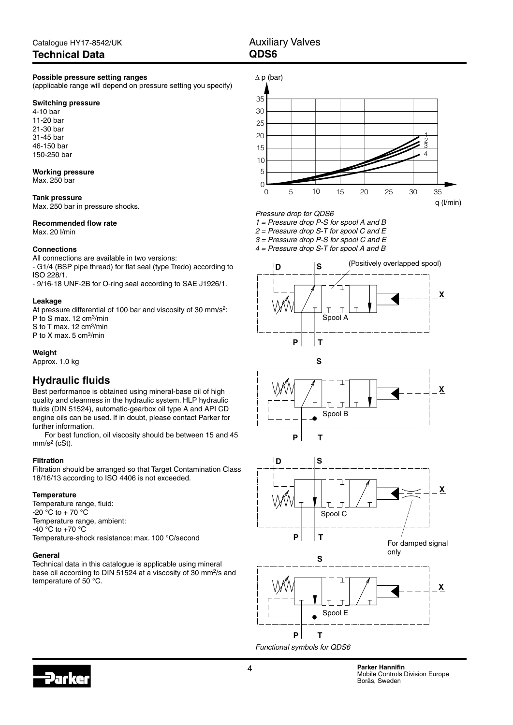#### **Possible pressure setting ranges**

(applicable range will depend on pressure setting you specify)

#### **Switching pressure**

4-10 bar 11-20 bar 21-30 bar 31-45 bar 46-150 bar 150-250 bar

#### **Working pressure**

Max. 250 bar

#### **Tank pressure**

Max. 250 bar in pressure shocks.

#### **Recommended flow rate**

Max. 20 l/min

#### **Connections**

All connections are available in two versions: - G1/4 (BSP pipe thread) for flat seal (type Tredo) according to ISO 228/1. - 9/16-18 UNF-2B for O-ring seal according to SAE J1926/1.

#### **Leakage**

At pressure differential of 100 bar and viscosity of 30 mm/s<sup>2</sup>: P to S max. 12 cm3/min S to T max. 12 cm3/min P to X max. 5 cm3/min

#### **Weight**

Approx. 1.0 kg

#### **Hydraulic fluids**

Best performance is obtained using mineral-base oil of high quality and cleanness in the hydraulic system. HLP hydraulic fluids (DIN 51524), automatic-gearbox oil type A and API CD engine oils can be used. If in doubt, please contact Parker for further information.

For best function, oil viscosity should be between 15 and 45  $mm/s<sup>2</sup>$  (cSt).

#### **Filtration**

Filtration should be arranged so that Target Contamination Class 18/16/13 according to ISO 4406 is not exceeded.

#### **Temperature**

Temperature range, fluid:  $-20 °C$  to + 70 °C Temperature range, ambient: -40 °C to +70 °C Temperature-shock resistance: max. 100 °C/second

#### **General**

Technical data in this catalogue is applicable using mineral base oil according to DIN 51524 at a viscosity of 30 mm<sup>2</sup>/s and temperature of 50 °C.



*Pressure drop for QDS6*

Auxiliary Valves

**QDS6**

*1 = Pressure drop P-S for spool A and B*

*2 = Pressure drop S-T for spool C and E*

*3 = Pressure drop P-S for spool C and E*

*4 = Pressure drop S-T for spool A and B*



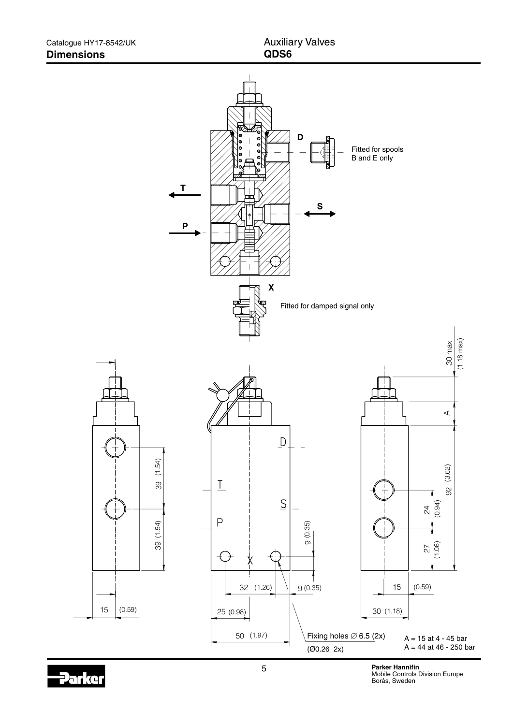

**Parker** 

Mobile Controls Division Europe Borås, Sweden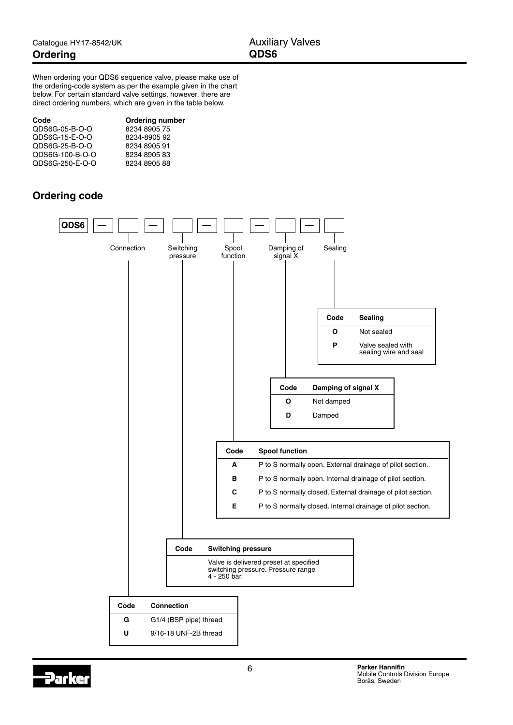When ordering your QDS6 sequence valve, please make use of the ordering-code system as per the example given in the chart below. For certain standard valve settings, however, there are direct ordering numbers, which are given in the table below.

| Code            | <b>Ordering number</b> |
|-----------------|------------------------|
| QDS6G-05-B-Q-Q  | 8234 8905 75           |
| QDS6G-15-E-O-O  | 8234-8905 92           |
| QDS6G-25-B-O-O  | 8234 8905 91           |
| QDS6G-100-B-O-O | 8234 8905 83           |
| QDS6G-250-E-O-O | 8234 8905 88           |
|                 |                        |

## **Ordering code**

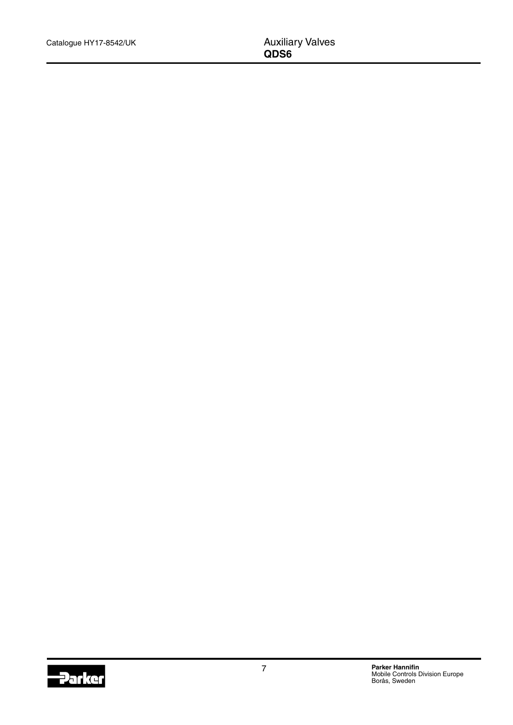